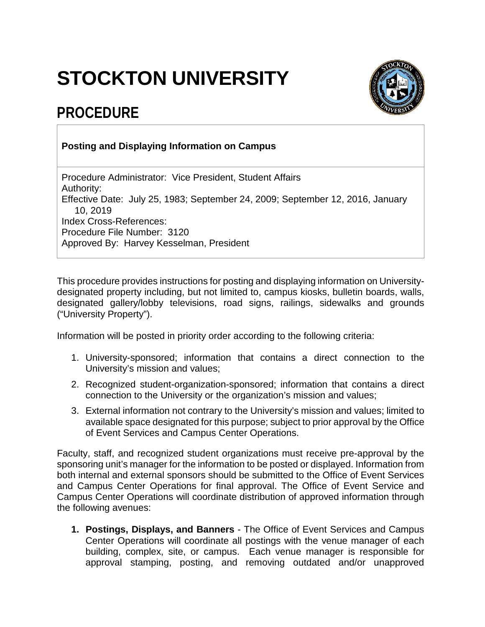## **STOCKTON UNIVERSITY**

## **PROCEDURE**



## **Posting and Displaying Information on Campus**

Procedure Administrator: Vice President, Student Affairs Authority: Effective Date: July 25, 1983; September 24, 2009; September 12, 2016, January 10, 2019 Index Cross-References: Procedure File Number: 3120 Approved By: Harvey Kesselman, President

This procedure provides instructions for posting and displaying information on Universitydesignated property including, but not limited to, campus kiosks, bulletin boards, walls, designated gallery/lobby televisions, road signs, railings, sidewalks and grounds ("University Property").

Information will be posted in priority order according to the following criteria:

- 1. University-sponsored; information that contains a direct connection to the University's mission and values;
- 2. Recognized student-organization-sponsored; information that contains a direct connection to the University or the organization's mission and values;
- 3. External information not contrary to the University's mission and values; limited to available space designated for this purpose; subject to prior approval by the Office of Event Services and Campus Center Operations.

Faculty, staff, and recognized student organizations must receive pre-approval by the sponsoring unit's manager for the information to be posted or displayed. Information from both internal and external sponsors should be submitted to the Office of Event Services and Campus Center Operations for final approval. The Office of Event Service and Campus Center Operations will coordinate distribution of approved information through the following avenues:

**1. Postings, Displays, and Banners** - The Office of Event Services and Campus Center Operations will coordinate all postings with the venue manager of each building, complex, site, or campus. Each venue manager is responsible for approval stamping, posting, and removing outdated and/or unapproved